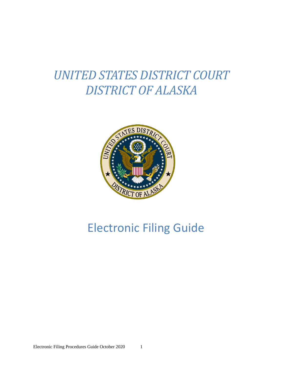# *UNITED STATES DISTRICT COURT DISTRICT OF ALASKA*



## Electronic Filing Guide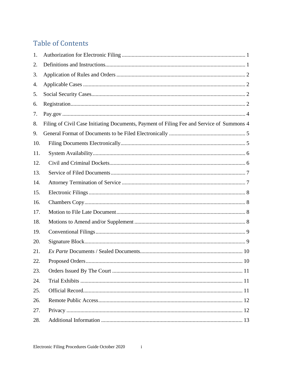## **Table of Contents**

| 1.  |                                                                                           |
|-----|-------------------------------------------------------------------------------------------|
| 2.  |                                                                                           |
| 3.  |                                                                                           |
| 4.  |                                                                                           |
| 5.  |                                                                                           |
| 6.  |                                                                                           |
| 7.  |                                                                                           |
| 8.  | Filing of Civil Case Initiating Documents, Payment of Filing Fee and Service of Summons 4 |
| 9.  |                                                                                           |
| 10. |                                                                                           |
| 11. |                                                                                           |
| 12. |                                                                                           |
| 13. |                                                                                           |
| 14. |                                                                                           |
| 15. |                                                                                           |
| 16. |                                                                                           |
| 17. |                                                                                           |
| 18. |                                                                                           |
| 19. |                                                                                           |
| 20. |                                                                                           |
| 21. |                                                                                           |
| 22. |                                                                                           |
| 23. |                                                                                           |
| 24. |                                                                                           |
| 25. |                                                                                           |
| 26. |                                                                                           |
| 27. |                                                                                           |
| 28. |                                                                                           |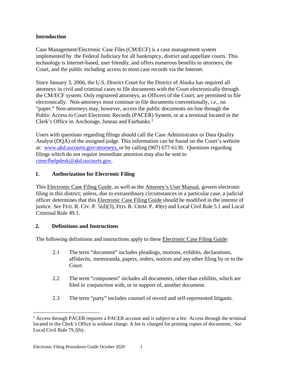## **Introduction**

Case Management/Electronic Case Files (CM/ECF) is a case management system implemented by the Federal Judiciary for all bankruptcy, district and appellate courts. This technology is Internet-based, user friendly, and offers numerous benefits to attorneys, the Court, and the public including access to most case records via the Internet.

Since January 3, 2006, the U.S. District Court for the District of Alaska has required all attorneys in civil and criminal cases to file documents with the Court electronically through the CM/ECF system. Only registered attorneys, as Officers of the Court, are permitted to file electronically. Non-attorneys must continue to file documents conventionally, *i.e.*, on "paper." Non-attorneys may, however, access the public documents on-line through the Public Access to Court Electronic Records (PACER) System, or at a terminal located in the Clerk's Office in Anchorage, Juneau and Fairbanks. [1](#page-2-2)

Users with questions regarding filings should call the Case Administrator or Data Quality Analyst (DQA) of the assigned judge. This information can be found on the Court's website at: [www.akd.uscourts.gov/attorneys,](http://www.akd.uscourts.gov/attorneys) or by calling (907) 677-6130. Questions regarding filings which do not require immediate attention may also be sent to [cmecfhelpdesk@akd.uscourts.gov.](mailto:cmecfhelpdesk@akd.uscourts.gov)

## <span id="page-2-0"></span>**1. Authorization for Electronic Filing**

This Electronic Case Filing Guide, as well as the Attorney's User Manual, govern electronic filing in this district; unless, due to extraordinary circumstances in a particular case, a judicial officer determines that this Electronic Case Filing Guide should be modified in the interest of justice. *See* FED. R. CIV. P. 5(d)(3), FED. R. CRIM. P. 49(e) and Local Civil Rule 5.1 and Local Criminal Rule 49.1.

#### <span id="page-2-1"></span>**2. Definitions and Instructions**

The following definitions and instructions apply to these **Electronic Case Filing Guide**:

- 2.1 The term "document" includes pleadings, motions, exhibits, declarations, affidavits, memoranda, papers, orders, notices and any other filing by or to the Court.
- 2.2 The term "component" includes all documents, other than exhibits, which are filed in conjunction with, or in support of, another document.
- 2.3 The term "party" includes counsel of record and self-represented litigants.

<span id="page-2-2"></span> $<sup>1</sup>$  Access through PACER requires a PACER account and is subject to a fee. Access through the terminal</sup> located in the Clerk's Office is without charge. A fee is charged for printing copies of documents. *See* Local Civil Rule 79.2(b).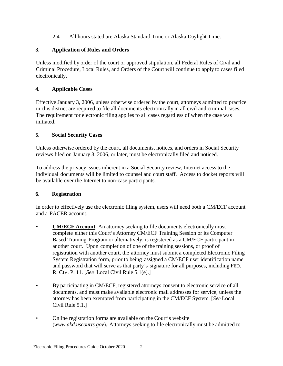2.4 All hours stated are Alaska Standard Time or Alaska Daylight Time.

## <span id="page-3-0"></span>**3. Application of Rules and Orders**

Unless modified by order of the court or approved stipulation, all Federal Rules of Civil and Criminal Procedure, Local Rules, and Orders of the Court will continue to apply to cases filed electronically.

## <span id="page-3-1"></span>**4. Applicable Cases**

Effective January 3, 2006, unless otherwise ordered by the court, attorneys admitted to practice in this district are required to file all documents electronically in all civil and criminal cases. The requirement for electronic filing applies to all cases regardless of when the case was initiated.

## <span id="page-3-2"></span>**5. Social Security Cases**

Unless otherwise ordered by the court, all documents, notices, and orders in Social Security reviews filed on January 3, 2006, or later, must be electronically filed and noticed.

To address the privacy issues inherent in a Social Security review, Internet access to the individual documents will be limited to counsel and court staff. Access to docket reports will be available over the Internet to non-case participants.

## <span id="page-3-3"></span>**6. Registration**

In order to effectively use the electronic filing system, users will need both a CM/ECF account and a PACER account.

- **CM/ECF Account**: An attorney seeking to file documents electronically must complete either this Court's Attorney CM/ECF Training Session or its Computer Based Training Program or alternatively, is registered as a CM/ECF participant in another court. Upon completion of one of the training sessions, or proof of registration with another court, the attorney must submit a completed Electronic Filing System Registration form, prior to being assigned a CM/ECF user identification name and password that will serve as that party's signature for all purposes, including FED. R. CIV. P. 11. [*See* Local Civil Rule 5.1(e).]
- By participating in CM/ECF, registered attorneys consent to electronic service of all documents, and must make available electronic mail addresses for service, unless the attorney has been exempted from participating in the CM/ECF System. [*See* Local Civil Rule 5.1.]
- Online registration forms are available on the Court's website (*www.akd.uscourts.gov*). Attorneys seeking to file electronically must be admitted to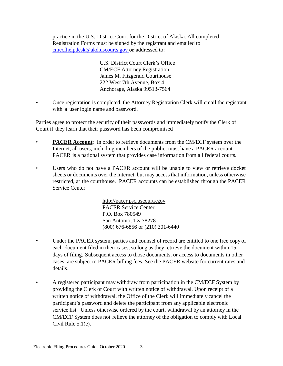practice in the U.S. District Court for the District of Alaska. All completed Registration Forms must be signed by the registrant and emailed to [cmecfhelpdesk@akd.uscourts.gov](mailto:cmecfhelpdesk@akd.uscourts.gov) **or** addressed to:

> U.S. District Court Clerk's Office CM/ECF Attorney Registration James M. Fitzgerald Courthouse 222 West 7th Avenue, Box 4 Anchorage, Alaska 99513-7564

• Once registration is completed, the Attorney Registration Clerk will email the registrant with a user login name and password.

Parties agree to protect the security of their passwords and immediately notify the Clerk of Court if they learn that their password has been compromised

- **PACER Account**: In order to retrieve documents from the CM/ECF system over the Internet, all users, including members of the public, must have a PACER account. PACER is a national system that provides case information from all federal courts.
- Users who do not have a PACER account will be unable to view or retrieve docket sheets or documents over the Internet, but may access that information, unless otherwise restricted, at the courthouse. PACER accounts can be established through the PACER Service Center:

[http://pacer.psc.uscourts.gov](http://pacer.psc.uscourts.gov/) PACER Service Center P.O. Box 780549 San Antonio, TX 78278 (800) 676-6856 or (210) 301-6440

- Under the PACER system, parties and counsel of record are entitled to one free copy of each document filed in their cases, so long as they retrieve the document within 15 days of filing. Subsequent access to those documents, or access to documents in other cases, are subject to PACER billing fees. See the PACER website for current rates and details.
- A registered participant may withdraw from participation in the CM/ECF System by providing the Clerk of Court with written notice of withdrawal. Upon receipt of a written notice of withdrawal, the Office of the Clerk will immediately cancel the participant's password and delete the participant from any applicable electronic service list. Unless otherwise ordered by the court, withdrawal by an attorney in the CM/ECF System does not relieve the attorney of the obligation to comply with Local Civil Rule 5.1(e).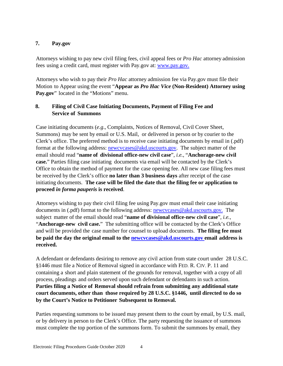## <span id="page-5-0"></span>**7. Pay.gov**

Attorneys wishing to pay new civil filing fees, civil appeal fees or *Pro Hac* attorney admission fees using a credit card, must register with Pay.gov at: [www.pay.gov.](http://www.pay.gov/)

Attorneys who wish to pay their *Pro Hac* attorney admission fee via Pay.gov must file their Motion to Appear using the event "**Appear as** *Pro Hac Vice* **(Non-Resident) Attorney using**  Pay.gov" located in the "Motions" menu.

## <span id="page-5-1"></span>**8. Filing of Civil Case Initiating Documents, Payment of Filing Fee and Service of Summons**

Case initiating documents (*e.g*., Complaints, Notices of Removal, Civil Cover Sheet, Summons) may be sent by email or U.S. Mail, or delivered in person or by courier to the Clerk's office. The preferred method is to receive case initiating documents by email in (.pdf) format at the following address: [newcvcases@akd.uscourts.gov.](mailto:newcvcases@akd.uscourts.gov) The subject matter of the email should read "**name of divisional office-new civil case**", *i.e.*, "**Anchorage-new civil case.**" Parties filing case initiating documents via email will be contacted by the Clerk's Office to obtain the method of payment for the case opening fee. All new case filing fees must be received by the Clerk's office **no later than 3 business days** after receipt of the case initiating documents. **The case will be filed the date that the filing fee or application to proceed** *in forma pauperis* **is received**.

Attorneys wishing to pay their civil filing fee using Pay.gov must email their case initiating documents in (.pdf) format to the following address: [newcvcases@akd.uscourts.gov.](mailto:newcvcases@akd.uscourts.gov) The subject matter of the email should read "**name of divisional office-new civil case**", *i.e.*, "**Anchorage-new civil case.**" The submitting office will be contacted by the Clerk's Office and will be provided the case number for counsel to upload documents. **The filing fee must be paid the day the original email to the [newcvcases@akd.uscourts.gov](mailto:newcvcases@akd.uscourts.gov) email address is received.**

A defendant or defendants desiring to remove any civil action from state court under 28 U.S.C. §1446 must file a Notice of Removal signed in accordance with FED. R. CIV. P. 11 and containing a short and plain statement of the grounds for removal, together with a copy of all process, pleadings and orders served upon such defendant or defendants in such action. **Parties filing a Notice of Removal should refrain from submitting any additional state court documents, other than those required by 28 U.S.C. §1446, until directed to do so by the Court's Notice to Petitioner Subsequent to Removal.**

Parties requesting summons to be issued may present them to the court by email, by U.S. mail, or by delivery in person to the Clerk's Office. The party requesting the issuance of summons must complete the top portion of the summons form. To submit the summons by email, they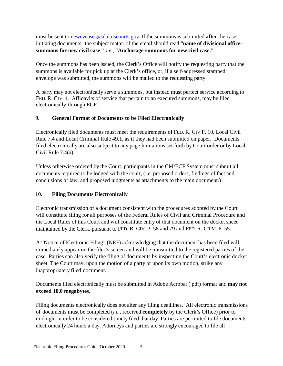must be sent to [newcvcases@akd.uscourts.gov.](mailto:newcvcases@akd.uscourts.gov) If the summons is submitted **after** the case initiating documents, the subject matter of the email should read "**name of divisional officesummons for new civil case**," *i.e.*, "**Anchorage-summons for new civil case.**"

Once the summons has been issued, the Clerk's Office will notify the requesting party that the summons is available for pick up at the Clerk's office, or, if a self-addressed stamped envelope was submitted, the summons will be mailed to the requesting party.

A party may not electronically serve a summons, but instead must perfect service according to FED. R. CIV. 4. Affidavits of service that pertain to an executed summons, may be filed electronically through ECF.

## <span id="page-6-0"></span>**9. General Format of Documents to be Filed Electronically**

Electronically filed documents must meet the requirements of FED. R. CIV P. 10, Local Civil Rule 7.4 and Local Criminal Rule 49.1, as if they had been submitted on paper. Documents filed electronically are also subject to any page limitations set forth by Court order or by Local Civil Rule 7.4(a).

Unless otherwise ordered by the Court, participants in the CM/ECF System must submit all documents required to be lodged with the court, (i.e. proposed orders, findings of fact and conclusions of law, and proposed judgments as attachments to the main document.)

#### <span id="page-6-1"></span>**10. Filing Documents Electronically**

Electronic transmission of a document consistent with the procedures adopted by the Court will constitute filing for all purposes of the Federal Rules of Civil and Criminal Procedure and the Local Rules of this Court and will constitute entry of that document on the docket sheet maintained by the Clerk, pursuant to FED. R. CIV. P. 58 and 79 and FED. R. CRIM. P. 55.

A "Notice of Electronic Filing" (NEF) acknowledging that the document has been filed will immediately appear on the filer's screen and will be transmitted to the registered parties of the case. Parties can also verify the filing of documents by inspecting the Court's electronic docket sheet. The Court may, upon the motion of a party or upon its own motion, strike any inappropriately filed document.

Documents filed electronically must be submitted in Adobe Acrobat (.pdf) format and **may not exceed 10.0 megabytes.**

Filing documents electronically does not alter any filing deadlines. All electronic transmissions of documents must be completed (*i.e.*, received **completely** by the Clerk's Office) prior to midnight in order to be considered timely filed that day. Parties are permitted to file documents electronically 24 hours a day. Attorneys and parties are strongly encouraged to file all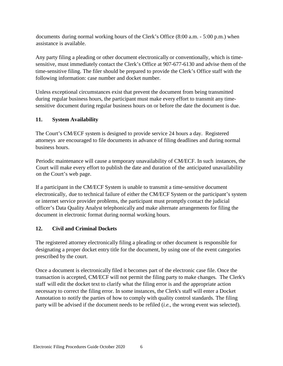documents during normal working hours of the Clerk's Office (8:00 a.m. - 5:00 p.m.) when assistance is available.

Any party filing a pleading or other document electronically or conventionally, which is timesensitive, must immediately contact the Clerk's Office at 907-677-6130 and advise them of the time-sensitive filing. The filer should be prepared to provide the Clerk's Office staff with the following information: case number and docket number.

Unless exceptional circumstances exist that prevent the document from being transmitted during regular business hours, the participant must make every effort to transmit any timesensitive document during regular business hours on or before the date the document is due.

## <span id="page-7-0"></span>**11. System Availability**

The Court's CM/ECF system is designed to provide service 24 hours a day. Registered attorneys are encouraged to file documents in advance of filing deadlines and during normal business hours.

Periodic maintenance will cause a temporary unavailability of CM/ECF. In such instances, the Court will make every effort to publish the date and duration of the anticipated unavailability on the Court's web page.

If a participant in the CM/ECF System is unable to transmit a time-sensitive document electronically, due to technical failure of either the CM/ECF System or the participant's system or internet service provider problems, the participant must promptly contact the judicial officer's Data Quality Analyst telephonically and make alternate arrangements for filing the document in electronic format during normal working hours.

## <span id="page-7-1"></span>**12. Civil and Criminal Dockets**

The registered attorney electronically filing a pleading or other document is responsible for designating a proper docket entry title for the document, by using one of the event categories prescribed by the court.

Once a document is electronically filed it becomes part of the electronic case file. Once the transaction is accepted, CM/ECF will not permit the filing party to make changes. The Clerk's staff will edit the docket text to clarify what the filing error is and the appropriate action necessary to correct the filing error. In some instances, the Clerk's staff will enter a Docket Annotation to notify the parties of how to comply with quality control standards. The filing party will be advised if the document needs to be refiled (*i.e.*, the wrong event was selected).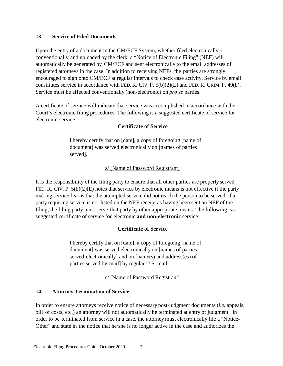#### <span id="page-8-0"></span>**13. Service of Filed Documents**

Upon the entry of a document in the CM/ECF System, whether filed electronically or conventionally and uploaded by the clerk, a "Notice of Electronic Filing" (NEF) will automatically be generated by CM/ECF and sent electronically to the email addresses of registered attorneys in the case. In addition to receiving NEFs, the parties are strongly encouraged to sign onto CM/ECF at regular intervals to check case activity. Service by email constitutes service in accordance with FED. R. CIV. P. 5(b)(2)(E) and FED. R. CRIM. P. 49(b). Service must be affected conventionally (non-electronic) on *pro se* parties.

A certificate of service will indicate that service was accomplished in accordance with the Court's electronic filing procedures. The following is a suggested certificate of service for electronic service:

#### **Certificate of Service**

I hereby certify that on [date], a copy of foregoing [name of document] was served electronically on [names of parties served].

#### s/ [Name of Password Registrant]

It is the responsibility of the filing party to ensure that all other parties are properly served. FED. R. CIV. P. 5(b)(2)(E) notes that service by electronic means is not effective if the party making service learns that the attempted service did not reach the person to be served. If a party requiring service is not listed on the NEF receipt as having been sent an NEF of the filing, the filing party must serve that party by other appropriate means. The following is a suggested certificate of service for electronic **and non-electronic** service:

#### **Certificate of Service**

I hereby certify that on [date], a copy of foregoing [name of document] was served electronically on [names of parties served electronically] and on [name(s) and address(es) of parties served by mail] by regular U.S. mail.

s/ [Name of Password Registrant]

#### <span id="page-8-1"></span>**14. Attorney Termination of Service**

In order to ensure attorneys receive notice of necessary post-judgment documents (*i.e.* appeals, bill of costs, etc.) an attorney will not automatically be terminated at entry of judgment. In order to be terminated from service in a case, the attorney must electronically file a "Notice-Other" and state in the notice that he/she is no longer active in the case and authorizes the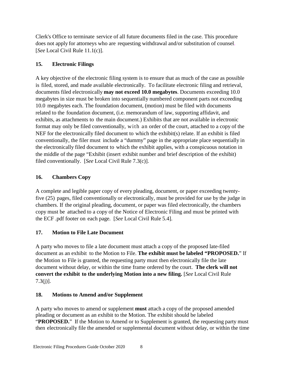Clerk's Office to terminate service of all future documents filed in the case. This procedure does not apply for attorneys who are requesting withdrawal and/or substitution of counsel. [*See* Local Civil Rule 11.1(c)].

## <span id="page-9-0"></span>**15. Electronic Filings**

A key objective of the electronic filing system is to ensure that as much of the case as possible is filed, stored, and made available electronically. To facilitate electronic filing and retrieval, documents filed electronically **may not exceed 10.0 megabytes**. Documents exceeding 10.0 megabytes in size must be broken into sequentially numbered component parts not exceeding 10.0 megabytes each. The foundation document, (motion) must be filed with documents related to the foundation document, (i.e. memorandum of law, supporting affidavit, and exhibits, as attachments to the main document.) Exhibits that are not available in electronic format may only be filed conventionally, with an order of the court, attached to a copy of the NEF for the electronically filed document to which the exhibit(s) relate. If an exhibit is filed conventionally, the filer must include a "dummy" page in the appropriate place sequentially in the electronically filed document to which the exhibit applies, with a conspicuous notation in the middle of the page "Exhibit (insert exhibit number and brief description of the exhibit) filed conventionally. [*See* Local Civil Rule 7.3(c)].

## <span id="page-9-1"></span>**16. Chambers Copy**

A complete and legible paper copy of every pleading, document, or paper exceeding twentyfive (25) pages, filed conventionally or electronically, must be provided for use by the judge in chambers. If the original pleading, document, or paper was filed electronically, the chambers copy must be attached to a copy of the Notice of Electronic Filing and must be printed with the ECF .pdf footer on each page. [*See* Local Civil Rule 5.4].

## <span id="page-9-2"></span>**17. Motion to File Late Document**

A party who moves to file a late document must attach a copy of the proposed late-filed document as an exhibit to the Motion to File. **The exhibit must be labeled "PROPOSED.**" If the Motion to File is granted, the requesting party must then electronically file the late document without delay, or within the time frame ordered by the court. **The clerk will not convert the exhibit to the underlying Motion into a new filing.** [*See* Local Civil Rule 7.3(j)].

## <span id="page-9-3"></span>**18. Motions to Amend and/or Supplement**

A party who moves to amend or supplement **must** attach a copy of the proposed amended pleading or document as an exhibit to the Motion. The exhibit should be labeled "**PROPOSED.**" If the Motion to Amend or to Supplement is granted, the requesting party must then electronically file the amended or supplemental document without delay, or within the time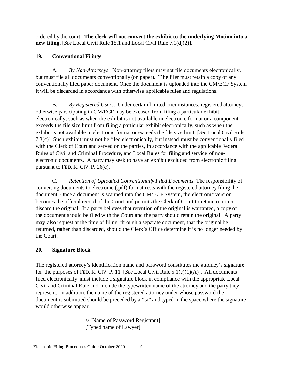ordered by the court. **The clerk will not convert the exhibit to the underlying Motion into a new filing.** [*See* Local Civil Rule 15.1 and Local Civil Rule 7.1(d)(2)].

## <span id="page-10-0"></span>**19. Conventional Filings**

A. *By Non-Attorneys.* Non-attorney filers may not file documents electronically, but must file all documents conventionally (on paper). T he filer must retain a copy of any conventionally filed paper document. Once the document is uploaded into the CM/ECF System it will be discarded in accordance with otherwise applicable rules and regulations.

B. *By Registered Users*. Under certain limited circumstances, registered attorneys otherwise participating in CM/ECF may be excused from filing a particular exhibit electronically, such as when the exhibit is not available in electronic format or a component exceeds the file size limit from filing a particular exhibit electronically, such as when the exhibit is not available in electronic format or exceeds the file size limit. [*See* Local Civil Rule 7.3(c)]. Such exhibit must **not** be filed electronically, but instead must be conventionally filed with the Clerk of Court and served on the parties, in accordance with the applicable Federal Rules of Civil and Criminal Procedure, and Local Rules for filing and service of nonelectronic documents. A party may seek to have an exhibit excluded from electronic filing pursuant to FED. R. CIV. P. 26(c).

C. *Retention of Uploaded Conventionally Filed Documents*. The responsibility of converting documents to electronic (.pdf) format rests with the registered attorney filing the document. Once a document is scanned into the CM/ECF System, the electronic version becomes the official record of the Court and permits the Clerk of Court to retain, return or discard the original. If a party believes that retention of the original is warranted, a copy of the document should be filed with the Court and the party should retain the original. A party may also request at the time of filing, through a separate document, that the original be returned, rather than discarded, should the Clerk's Office determine it is no longer needed by the Court.

## <span id="page-10-1"></span>**20. Signature Block**

The registered attorney's identification name and password constitutes the attorney's signature for the purposes of FED. R. CIV. P. 11. [*See* Local Civil Rule 5.1(e)(1)(A)]. All documents filed electronically must include a signature block in compliance with the appropriate Local Civil and Criminal Rule and include the typewritten name of the attorney and the party they represent. In addition, the name of the registered attorney under whose password the document is submitted should be preceded by a "s/" and typed in the space where the signature would otherwise appear.

> s/ [Name of Password Registrant] [Typed name of Lawyer]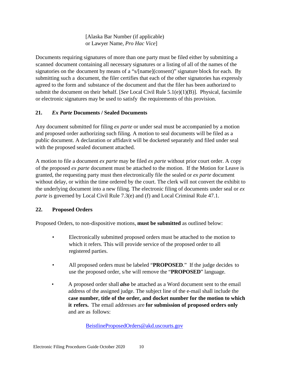[Alaska Bar Number (if applicable) or Lawyer Name, *Pro Hac Vice*]

Documents requiring signatures of more than one party must be filed either by submitting a scanned document containing all necessary signatures or a listing of all of the names of the signatories on the document by means of a "s/[name](consent)" signature block for each. By submitting such a document, the filer certifies that each of the other signatories has expressly agreed to the form and substance of the document and that the filer has been authorized to submit the document on their behalf. [*See* Local Civil Rule 5.1(e)(1)(B)]. Physical, facsimile or electronic signatures may be used to satisfy the requirements of this provision.

## <span id="page-11-0"></span>**21.** *Ex Parte* **Documents / Sealed Documents**

Any document submitted for filing *ex parte* or under seal must be accompanied by a motion and proposed order authorizing such filing. A motion to seal documents will be filed as a public document. A declaration or affidavit will be docketed separately and filed under seal with the proposed sealed document attached.

A motion to file a document *ex parte* may be filed *ex parte* without prior court order. A copy of the proposed *ex parte* document must be attached to the motion. If the Motion for Leave is granted, the requesting party must then electronically file the sealed or *ex parte* document without delay, or within the time ordered by the court. The clerk will not convert the exhibit to the underlying document into a new filing. The electronic filing of documents under seal or *ex parte* is governed by Local Civil Rule 7.3(e) and (f) and Local Criminal Rule 47.1.

#### <span id="page-11-1"></span>**22. Proposed Orders**

Proposed Orders, to non-dispositive motions, **must be submitted** as outlined below:

- Electronically submitted proposed orders must be attached to the motion to which it refers. This will provide service of the proposed order to all registered parties.
- All proposed orders must be labeled "**PROPOSED**." If the judge decides to use the proposed order, s/he will remove the "**PROPOSED**" language.
- A proposed order shall *also* be attached as a Word document sent to the email address of the assigned judge. The subject line of the e-mail shall include the **case number, title of the order, and docket number for the motion to which it refers.** The email addresses are **for submission of proposed orders only**  and are as follows:

[BeistlineProposedOrders@akd.uscourts.gov](mailto:BeistlineProposedOrders@akd.uscourts.gov)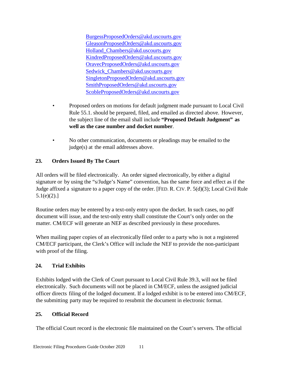[BurgessProposedOrders@akd.uscourts.gov](mailto:BurgessProposedOrders@akd.uscourts.gov) [GleasonProposedOrders@akd.uscourts.gov](mailto:GleasonProposedOrders@akd.uscourts.gov) [Holland\\_Chambers@akd.uscourts.gov](mailto:Holland_Chambers@akd.uscourts.gov) [KindredProposedOrders@akd.uscourts.gov](mailto:KindredProposedOrders@akd.uscourts.gov) [OravecProposedOrders@akd.uscourts.gov](mailto:OravecProposedOrders@akd.uscourts.gov) [Sedwick\\_Chambers@akd.uscourts.gov](mailto:Sedwick_Chambers@akd.uscourts.gov) [SingletonProposedOrders@akd.uscourts.gov](mailto:SingletonProposedOrders@akd.uscourts.gov) [SmithProposedOrders@akd.uscourts.gov](mailto:SmithProposedOrders@akd.uscourts.gov) [ScobleProposedOrders@akd.uscourts.gov](mailto:ScobleProposedOrders@akd.uscourts.gov)

- Proposed orders on motions for default judgment made pursuant to Local Civil Rule 55.1. should be prepared, filed, and emailed as directed above. However, the subject line of the email shall include **"Proposed Default Judgment" as well as the case number and docket number**.
- No other communication, documents or pleadings may be emailed to the judge(s) at the email addresses above.

## <span id="page-12-0"></span>**23. Orders Issued By The Court**

All orders will be filed electronically. An order signed electronically, by either a digital signature or by using the "s/Judge's Name" convention, has the same force and effect as if the Judge affixed a signature to a paper copy of the order. [FED. R. CIV. P. 5(d)(3); Local Civil Rule  $5.1(e)(2).$ ]

Routine orders may be entered by a text-only entry upon the docket. In such cases, no pdf document will issue, and the text-only entry shall constitute the Court's only order on the matter. CM/ECF will generate an NEF as described previously in these procedures.

When mailing paper copies of an electronically filed order to a party who is not a registered CM/ECF participant, the Clerk's Office will include the NEF to provide the non-participant with proof of the filing.

## <span id="page-12-1"></span>**24. Trial Exhibits**

Exhibits lodged with the Clerk of Court pursuant to Local Civil Rule 39.3, will not be filed electronically. Such documents will not be placed in CM/ECF, unless the assigned judicial officer directs filing of the lodged document. If a lodged exhibit is to be entered into CM/ECF, the submitting party may be required to resubmit the document in electronic format.

## <span id="page-12-2"></span>**25. Official Record**

The official Court record is the electronic file maintained on the Court's servers. The official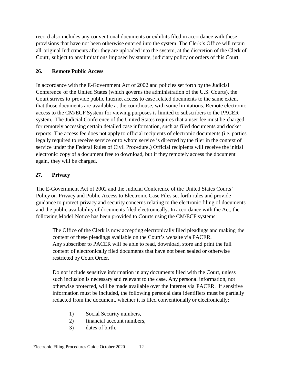record also includes any conventional documents or exhibits filed in accordance with these provisions that have not been otherwise entered into the system. The Clerk's Office will retain all original Indictments after they are uploaded into the system, at the discretion of the Clerk of Court, subject to any limitations imposed by statute, judiciary policy or orders of this Court.

## <span id="page-13-0"></span>**26. Remote Public Access**

In accordance with the E-Government Act of 2002 and policies set forth by the Judicial Conference of the United States (which governs the administration of the U.S. Courts), the Court strives to provide public Internet access to case related documents to the same extent that those documents are available at the courthouse, with some limitations. Remote electronic access to the CM/ECF System for viewing purposes is limited to subscribers to the PACER system. The Judicial Conference of the United States requires that a user fee must be charged for remotely accessing certain detailed case information, such as filed documents and docket reports. The access fee does not apply to official recipients of electronic documents (i.e. parties legally required to receive service or to whom service is directed by the filer in the context of service under the Federal Rules of Civil Procedure.) Official recipients will receive the initial electronic copy of a document free to download, but if they remotely access the document again, they will be charged.

## <span id="page-13-1"></span>**27. Privacy**

The E-Government Act of 2002 and the Judicial Conference of the United States Courts' Policy on Privacy and Public Access to Electronic Case Files set forth rules and provide guidance to protect privacy and security concerns relating to the electronic filing of documents and the public availability of documents filed electronically. In accordance with the Act, the following Model Notice has been provided to Courts using the CM/ECF systems:

The Office of the Clerk is now accepting electronically filed pleadings and making the content of these pleadings available on the Court's website via PACER. Any subscriber to PACER will be able to read, download, store and print the full content of electronically filed documents that have not been sealed or otherwise restricted by Court Order.

Do not include sensitive information in any documents filed with the Court, unless such inclusion is necessary and relevant to the case. Any personal information, not otherwise protected, will be made available over the Internet via PACER. If sensitive information must be included, the following personal data identifiers must be partially redacted from the document, whether it is filed conventionally or electronically:

- 1) Social Security numbers,
- 2) financial account numbers,
- 3) dates of birth,